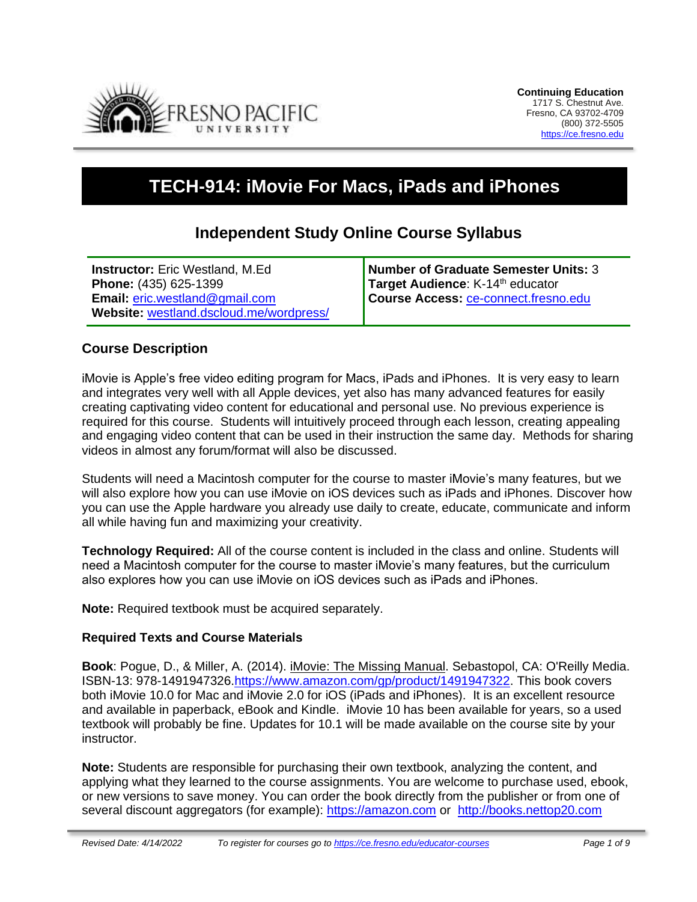

# **TECH-914: iMovie For Macs, iPads and iPhones**

# **Independent Study Online Course Syllabus**

| <b>Instructor:</b> Eric Westland, M.Ed  | Number of Graduate Semester Units: 3         |
|-----------------------------------------|----------------------------------------------|
| Phone: (435) 625-1399                   | Target Audience: K-14 <sup>th</sup> educator |
| <b>Email: eric.westland@gmail.com</b>   | Course Access: ce-connect.fresno.edu         |
| Website: westland.dscloud.me/wordpress/ |                                              |

### **Course Description**

iMovie is Apple's free video editing program for Macs, iPads and iPhones. It is very easy to learn and integrates very well with all Apple devices, yet also has many advanced features for easily creating captivating video content for educational and personal use. No previous experience is required for this course. Students will intuitively proceed through each lesson, creating appealing and engaging video content that can be used in their instruction the same day. Methods for sharing videos in almost any forum/format will also be discussed.

Students will need a Macintosh computer for the course to master iMovie's many features, but we will also explore how you can use iMovie on iOS devices such as iPads and iPhones. Discover how you can use the Apple hardware you already use daily to create, educate, communicate and inform all while having fun and maximizing your creativity.

**Technology Required:** All of the course content is included in the class and online. Students will need a Macintosh computer for the course to master iMovie's many features, but the curriculum also explores how you can use iMovie on iOS devices such as iPads and iPhones.   

**Note:** Required textbook must be acquired separately.

#### **Required Texts and Course Materials**

**Book**: Pogue, D., & Miller, A. (2014). iMovie: The Missing Manual. Sebastopol, CA: O'Reilly Media. ISBN-13: 978-1491947326[.https://www.amazon.com/gp/product/1491947322.](https://www.amazon.com/gp/product/1491947322) This book covers both iMovie 10.0 for Mac and iMovie 2.0 for iOS (iPads and iPhones). It is an excellent resource and available in paperback, eBook and Kindle. iMovie 10 has been available for years, so a used textbook will probably be fine. Updates for 10.1 will be made available on the course site by your instructor.

**Note:** Students are responsible for purchasing their own textbook, analyzing the content, and applying what they learned to the course assignments. You are welcome to purchase used, ebook, or new versions to save money. You can order the book directly from the publisher or from one of several discount aggregators (for example): [https://amazon.com](https://amazon.com/) or [http://books.nettop20.com](http://books.nettop20.com/)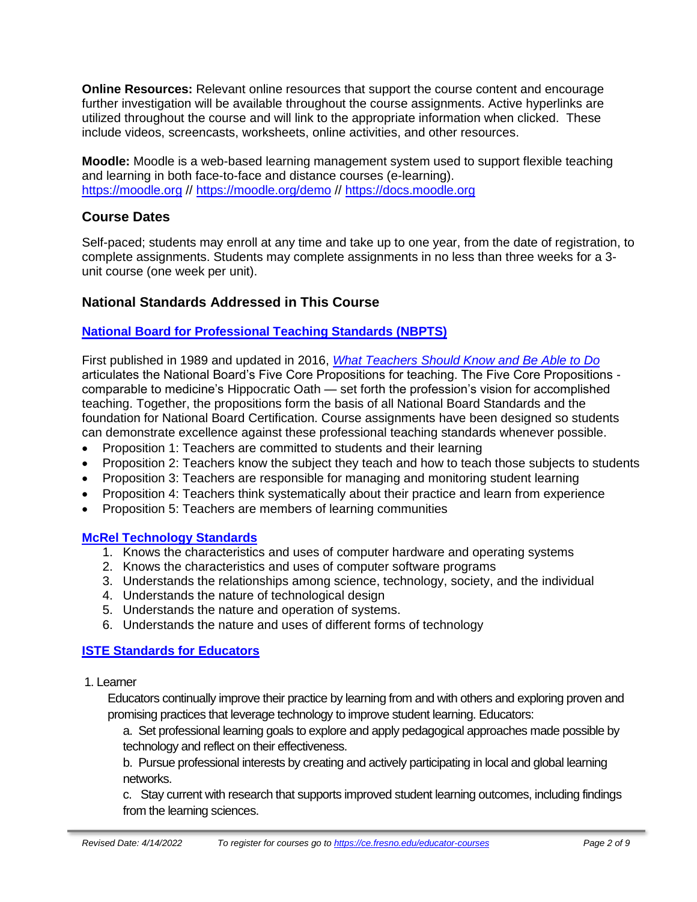**Online Resources:** Relevant online resources that support the course content and encourage further investigation will be available throughout the course assignments. Active hyperlinks are utilized throughout the course and will link to the appropriate information when clicked. These include videos, screencasts, worksheets, online activities, and other resources.

**Moodle:** Moodle is a web-based learning management system used to support flexible teaching and learning in both face-to-face and distance courses (e-learning). [https://moodle.org](https://moodle.org/) // <https://moodle.org/demo> // [https://docs.moodle.org](https://docs.moodle.org/)

# **Course Dates**

Self-paced; students may enroll at any time and take up to one year, from the date of registration, to complete assignments. Students may complete assignments in no less than three weeks for a 3 unit course (one week per unit).

# **National Standards Addressed in This Course**

### **[National Board for Professional Teaching Standards \(NBPTS\)](http://www.nbpts.org/standards-five-core-propositions)**

First published in 1989 and updated in 2016, *[What Teachers Should Know and Be Able to Do](http://www.accomplishedteacher.org/)* articulates the National Board's Five Core Propositions for teaching. The Five Core Propositions comparable to medicine's Hippocratic Oath — set forth the profession's vision for accomplished teaching. Together, the propositions form the basis of all National Board Standards and the foundation for National Board Certification. Course assignments have been designed so students can demonstrate excellence against these professional teaching standards whenever possible.

- Proposition 1: Teachers are committed to students and their learning
- Proposition 2: Teachers know the subject they teach and how to teach those subjects to students
- Proposition 3: Teachers are responsible for managing and monitoring student learning
- Proposition 4: Teachers think systematically about their practice and learn from experience
- Proposition 5: Teachers are members of learning communities

### **McRel [Technology](http://www2.mcrel.org/compendium/SubjectTopics.asp?SubjectID=19) Standards**

- 1. Knows the [characteristics](http://www2.mcrel.org/compendium/standardDetails.asp?subjectID=19&standardID=1) and uses of computer hardware and operating systems
- 2. Knows the [characteristics](http://www2.mcrel.org/compendium/standardDetails.asp?subjectID=19&standardID=2) and uses of computer software programs
- 3. [Understands](http://www2.mcrel.org/compendium/standardDetails.asp?subjectID=19&standardID=3) the relationships among science, technology, society, and the individual
- 4. Understands the nature of [technological](http://www2.mcrel.org/compendium/standardDetails.asp?subjectID=19&standardID=4) design
- 5. [Understands](http://www2.mcrel.org/compendium/standardDetails.asp?subjectID=19&standardID=5) the nature and operation of systems.
- 6. [Understands the nature and uses of different forms of technology](http://www2.mcrel.org/compendium/standardDetails.asp?subjectID=19&standardID=6)

# **ISTE [Standards](https://www.iste.org/standards/for-educators) for Educators**

1. Learner

Educators continually improve their practice by learning from and with others and exploring proven and promising practices that leverage technology to improve student learning. Educators:

a. Set professional learning goals to explore and apply pedagogical approaches made possible by technology and reflect on their effectiveness.

b. Pursue professional interests by creating and actively participating in local and global learning networks.

c. Stay current with research that supports improved student learning outcomes, including findings from the learning sciences.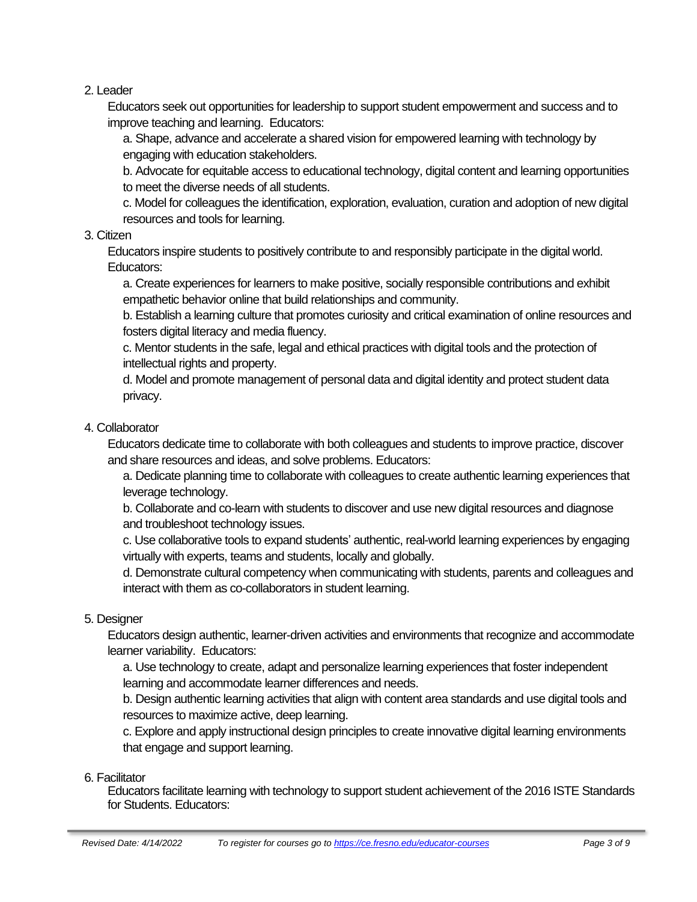2. Leader

Educators seek out opportunities for leadership to support student empowerment and success and to improve teaching and learning. Educators:

a. Shape, advance and accelerate a shared vision for empowered learning with technology by engaging with education stakeholders.

b. Advocate for equitable access to educational technology, digital content and learning opportunities to meet the diverse needs of all students.

c. Model for colleagues the identification, exploration, evaluation, curation and adoption of new digital resources and tools for learning.

### 3. Citizen

Educators inspire students to positively contribute to and responsibly participate in the digital world. Educators:

a. Create experiences for learners to make positive, socially responsible contributions and exhibit empathetic behavior online that build relationships and community.

b. Establish a learning culture that promotes curiosity and critical examination of online resources and fosters digital literacy and media fluency.

c. Mentor students in the safe, legal and ethical practices with digital tools and the protection of intellectual rights and property.

d. Model and promote management of personal data and digital identity and protect student data privacy.

### 4. Collaborator

Educators dedicate time to collaborate with both colleagues and students to improve practice, discover and share resources and ideas, and solve problems. Educators:

a. Dedicate planning time to collaborate with colleagues to create authentic learning experiences that leverage technology.

b. Collaborate and co-learn with students to discover and use new digital resources and diagnose and troubleshoot technology issues.

c. Use collaborative tools to expand students' authentic, real-world learning experiences by engaging virtually with experts, teams and students, locally and globally.

d. Demonstrate cultural competency when communicating with students, parents and colleagues and interact with them as co-collaborators in student learning.

### 5. Designer

Educators design authentic, learner-driven activities and environments that recognize and accommodate learner variability. Educators:

a. Use technology to create, adapt and personalize learning experiences that foster independent learning and accommodate learner differences and needs.

b. Design authentic learning activities that align with content area standards and use digital tools and resources to maximize active, deep learning.

c. Explore and apply instructional design principles to create innovative digital learning environments that engage and support learning.

### 6. Facilitator

Educators facilitate learning with technology to support student achievement of the 2016 ISTE Standards for Students. Educators: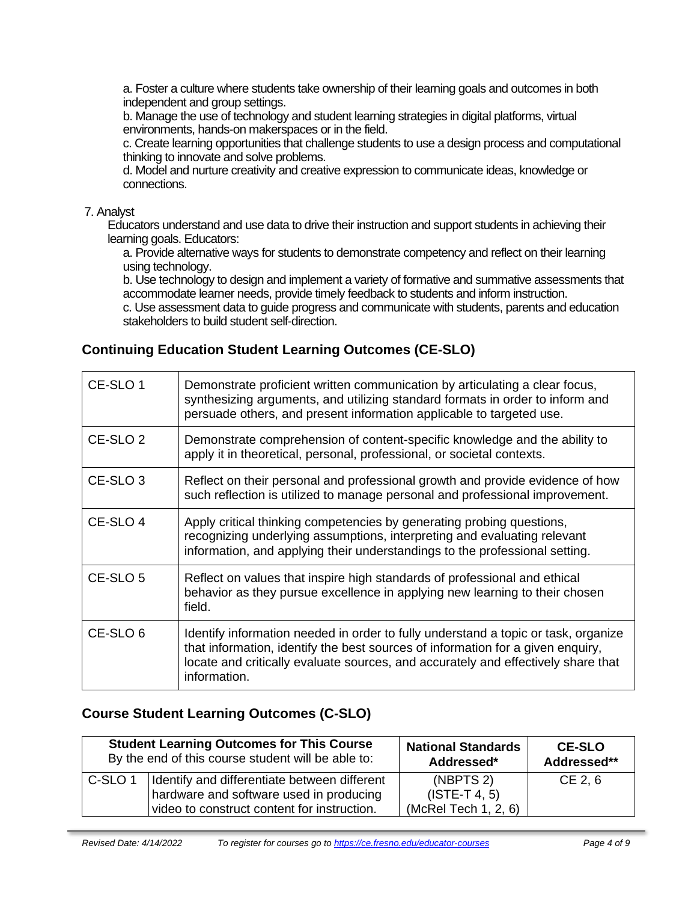a. Foster a culture where students take ownership of their learning goals and outcomes in both independent and group settings.

b. Manage the use of technology and student learning strategies in digital platforms, virtual environments, hands-on makerspaces or in the field.

c. Create learning opportunities that challenge students to use a design process and computational thinking to innovate and solve problems.

d. Model and nurture creativity and creative expression to communicate ideas, knowledge or connections.

#### 7. Analyst

Educators understand and use data to drive their instruction and support students in achieving their learning goals. Educators:

a. Provide alternative ways for students to demonstrate competency and reflect on their learning using technology.

b. Use technology to design and implement a variety of formative and summative assessments that accommodate learner needs, provide timely feedback to students and inform instruction.

c. Use assessment data to guide progress and communicate with students, parents and education stakeholders to build student self-direction.

# **Continuing Education Student Learning Outcomes (CE-SLO)**

| CE-SLO 1            | Demonstrate proficient written communication by articulating a clear focus,<br>synthesizing arguments, and utilizing standard formats in order to inform and<br>persuade others, and present information applicable to targeted use.                                       |
|---------------------|----------------------------------------------------------------------------------------------------------------------------------------------------------------------------------------------------------------------------------------------------------------------------|
| CE-SLO <sub>2</sub> | Demonstrate comprehension of content-specific knowledge and the ability to<br>apply it in theoretical, personal, professional, or societal contexts.                                                                                                                       |
| CE-SLO <sub>3</sub> | Reflect on their personal and professional growth and provide evidence of how<br>such reflection is utilized to manage personal and professional improvement.                                                                                                              |
| CE-SLO 4            | Apply critical thinking competencies by generating probing questions,<br>recognizing underlying assumptions, interpreting and evaluating relevant<br>information, and applying their understandings to the professional setting.                                           |
| CE-SLO 5            | Reflect on values that inspire high standards of professional and ethical<br>behavior as they pursue excellence in applying new learning to their chosen<br>field.                                                                                                         |
| CE-SLO 6            | Identify information needed in order to fully understand a topic or task, organize<br>that information, identify the best sources of information for a given enquiry,<br>locate and critically evaluate sources, and accurately and effectively share that<br>information. |

# **Course Student Learning Outcomes (C-SLO)**

|                    | <b>Student Learning Outcomes for This Course</b>                                                                                       | <b>National Standards</b>                                        | <b>CE-SLO</b> |
|--------------------|----------------------------------------------------------------------------------------------------------------------------------------|------------------------------------------------------------------|---------------|
|                    | By the end of this course student will be able to:                                                                                     | Addressed*                                                       | Addressed**   |
| C-SLO <sub>1</sub> | Identify and differentiate between different<br>hardware and software used in producing<br>video to construct content for instruction. | (NBPTS <sub>2</sub> )<br>$(ISTE-T 4, 5)$<br>(McRel Tech 1, 2, 6) | $CE$ 2, 6     |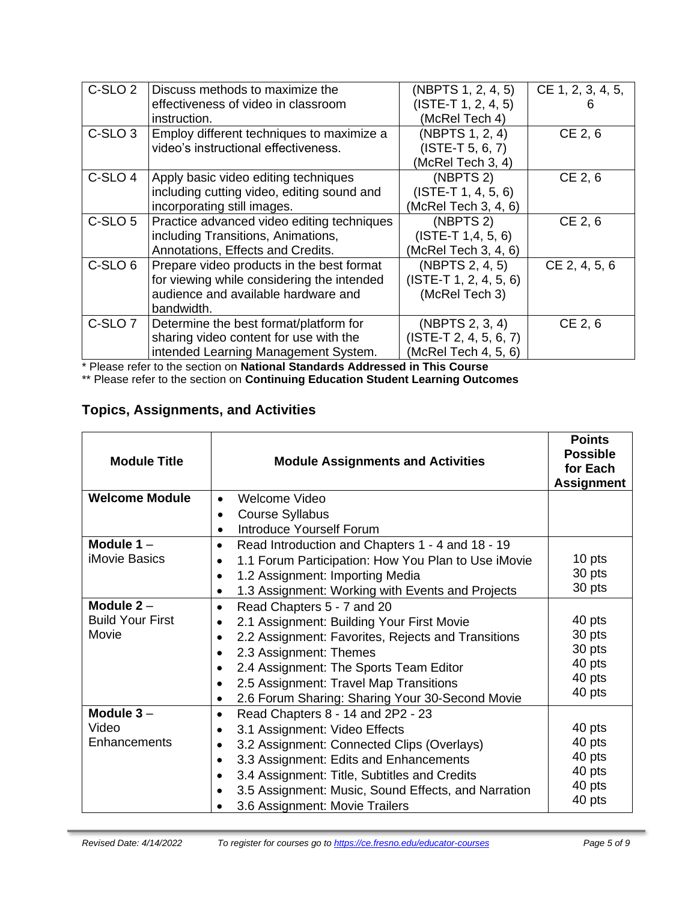| C-SLO <sub>2</sub> | Discuss methods to maximize the            | (NBPTS 1, 2, 4, 5)       | CE 1, 2, 3, 4, 5, |
|--------------------|--------------------------------------------|--------------------------|-------------------|
|                    | effectiveness of video in classroom        | $(ISTE-T 1, 2, 4, 5)$    |                   |
|                    | instruction.                               | (McRel Tech 4)           |                   |
| C-SLO <sub>3</sub> | Employ different techniques to maximize a  | (NBPTS 1, 2, 4)          | CE 2, 6           |
|                    | video's instructional effectiveness.       | $(ISTE-T 5, 6, 7)$       |                   |
|                    |                                            | (McRel Tech 3, 4)        |                   |
| C-SLO <sub>4</sub> | Apply basic video editing techniques       | (NBPTS <sub>2</sub> )    | CE 2, 6           |
|                    | including cutting video, editing sound and | $(ISTE-T 1, 4, 5, 6)$    |                   |
|                    | incorporating still images.                | (McRel Tech 3, 4, 6)     |                   |
| C-SLO <sub>5</sub> | Practice advanced video editing techniques | (NBPTS 2)                | CE 2, 6           |
|                    | including Transitions, Animations,         | $(ISTE-T 1, 4, 5, 6)$    |                   |
|                    | Annotations, Effects and Credits.          | (McRel Tech 3, 4, 6)     |                   |
| C-SLO <sub>6</sub> | Prepare video products in the best format  | (NBPTS 2, 4, 5)          | CE 2, 4, 5, 6     |
|                    | for viewing while considering the intended | $(ISTE-T 1, 2, 4, 5, 6)$ |                   |
|                    | audience and available hardware and        | (McRel Tech 3)           |                   |
|                    | bandwidth.                                 |                          |                   |
| C-SLO <sub>7</sub> | Determine the best format/platform for     | (NBPTS 2, 3, 4)          | CE 2, 6           |
|                    | sharing video content for use with the     | $(ISTE-T 2, 4, 5, 6, 7)$ |                   |
|                    | intended Learning Management System.       | (McRel Tech 4, 5, 6)     |                   |

\* Please refer to the section on **National Standards Addressed in This Course**

\*\* Please refer to the section on **Continuing Education Student Learning Outcomes**

# **Topics, Assignments, and Activities**

| <b>Module Title</b>     | <b>Module Assignments and Activities</b>                      | <b>Points</b><br><b>Possible</b><br>for Each<br><b>Assignment</b> |
|-------------------------|---------------------------------------------------------------|-------------------------------------------------------------------|
| <b>Welcome Module</b>   | Welcome Video<br>$\bullet$                                    |                                                                   |
|                         | <b>Course Syllabus</b>                                        |                                                                   |
|                         | <b>Introduce Yourself Forum</b>                               |                                                                   |
| Module $1 -$            | Read Introduction and Chapters 1 - 4 and 18 - 19<br>$\bullet$ |                                                                   |
| <b>iMovie Basics</b>    | 1.1 Forum Participation: How You Plan to Use iMovie           | 10 pts                                                            |
|                         | 1.2 Assignment: Importing Media<br>٠                          | 30 pts                                                            |
|                         | 1.3 Assignment: Working with Events and Projects<br>٠         | 30 pts                                                            |
| Module $2 -$            | Read Chapters 5 - 7 and 20<br>٠                               |                                                                   |
| <b>Build Your First</b> | 2.1 Assignment: Building Your First Movie                     | 40 pts                                                            |
| Movie                   | 2.2 Assignment: Favorites, Rejects and Transitions            | 30 pts                                                            |
|                         | 2.3 Assignment: Themes                                        | 30 pts                                                            |
|                         | 2.4 Assignment: The Sports Team Editor                        | 40 pts                                                            |
|                         | 2.5 Assignment: Travel Map Transitions                        | 40 pts                                                            |
|                         | 2.6 Forum Sharing: Sharing Your 30-Second Movie<br>٠          | 40 pts                                                            |
| Module $3-$             | Read Chapters 8 - 14 and 2P2 - 23<br>$\bullet$                |                                                                   |
| Video                   | 3.1 Assignment: Video Effects<br>$\bullet$                    | 40 pts                                                            |
| Enhancements            | 3.2 Assignment: Connected Clips (Overlays)                    | 40 pts                                                            |
|                         | 3.3 Assignment: Edits and Enhancements<br>$\bullet$           | 40 pts                                                            |
|                         | 3.4 Assignment: Title, Subtitles and Credits                  | 40 pts                                                            |
|                         | 3.5 Assignment: Music, Sound Effects, and Narration           | 40 pts                                                            |
|                         | 3.6 Assignment: Movie Trailers                                | 40 pts                                                            |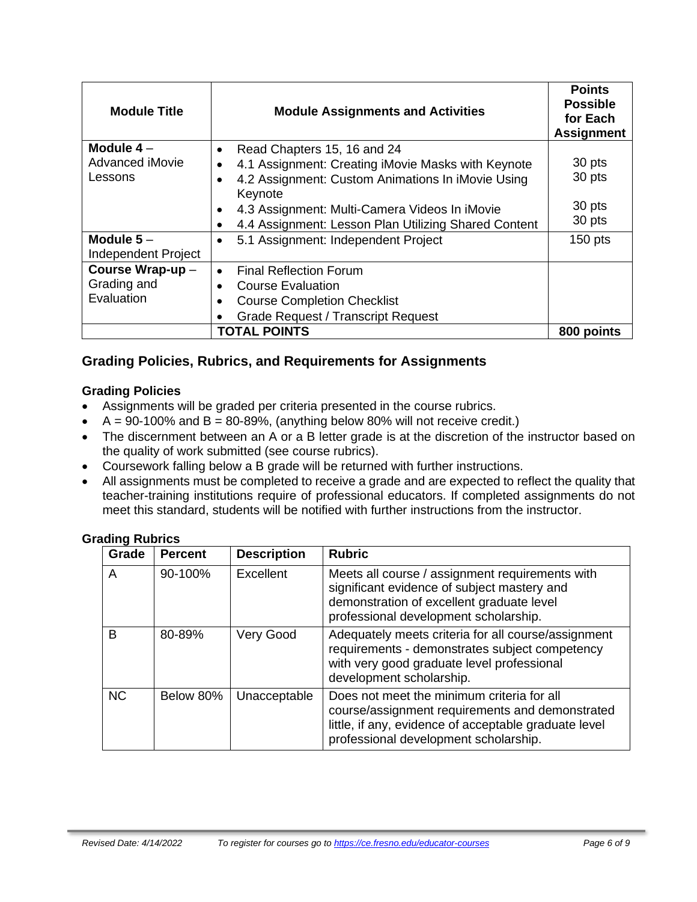| <b>Module Title</b>                | <b>Module Assignments and Activities</b>                     | <b>Points</b><br><b>Possible</b><br>for Each<br><b>Assignment</b> |
|------------------------------------|--------------------------------------------------------------|-------------------------------------------------------------------|
| Module $4-$                        | Read Chapters 15, 16 and 24<br>$\bullet$                     |                                                                   |
| Advanced iMovie                    | 4.1 Assignment: Creating iMovie Masks with Keynote           | 30 pts                                                            |
| Lessons                            | 4.2 Assignment: Custom Animations In iMovie Using<br>Keynote | 30 pts                                                            |
|                                    | 4.3 Assignment: Multi-Camera Videos In iMovie<br>٠           | 30 pts                                                            |
|                                    | 4.4 Assignment: Lesson Plan Utilizing Shared Content         | 30 pts                                                            |
| Module $5-$<br>Independent Project | 5.1 Assignment: Independent Project<br>$\bullet$             | $150$ pts                                                         |
| Course Wrap-up-                    | <b>Final Reflection Forum</b><br>$\bullet$                   |                                                                   |
| Grading and                        | <b>Course Evaluation</b>                                     |                                                                   |
| Evaluation                         | <b>Course Completion Checklist</b>                           |                                                                   |
|                                    | <b>Grade Request / Transcript Request</b>                    |                                                                   |
| <b>TOTAL POINTS</b>                |                                                              |                                                                   |

# **Grading Policies, Rubrics, and Requirements for Assignments**

### **Grading Policies**

- Assignments will be graded per criteria presented in the course rubrics.
- $A = 90-100\%$  and  $B = 80-89\%$ , (anything below 80% will not receive credit.)
- The discernment between an A or a B letter grade is at the discretion of the instructor based on the quality of work submitted (see course rubrics).
- Coursework falling below a B grade will be returned with further instructions.
- All assignments must be completed to receive a grade and are expected to reflect the quality that teacher-training institutions require of professional educators. If completed assignments do not meet this standard, students will be notified with further instructions from the instructor.

### **Grading Rubrics**

| Grade     | <b>Percent</b> | <b>Description</b> | <b>Rubric</b>                                                                                                                                                                                   |
|-----------|----------------|--------------------|-------------------------------------------------------------------------------------------------------------------------------------------------------------------------------------------------|
| A         | 90-100%        | Excellent          | Meets all course / assignment requirements with<br>significant evidence of subject mastery and<br>demonstration of excellent graduate level<br>professional development scholarship.            |
| B         | 80-89%         | Very Good          | Adequately meets criteria for all course/assignment<br>requirements - demonstrates subject competency<br>with very good graduate level professional<br>development scholarship.                 |
| <b>NC</b> | Below 80%      | Unacceptable       | Does not meet the minimum criteria for all<br>course/assignment requirements and demonstrated<br>little, if any, evidence of acceptable graduate level<br>professional development scholarship. |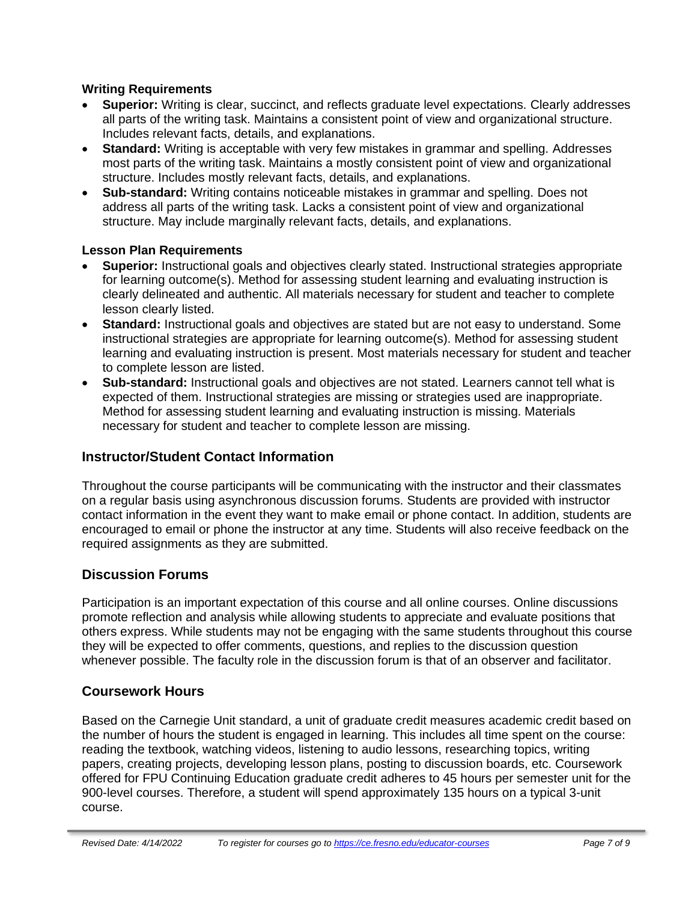### **Writing Requirements**

- **Superior:** Writing is clear, succinct, and reflects graduate level expectations. Clearly addresses all parts of the writing task. Maintains a consistent point of view and organizational structure. Includes relevant facts, details, and explanations.
- **Standard:** Writing is acceptable with very few mistakes in grammar and spelling. Addresses most parts of the writing task. Maintains a mostly consistent point of view and organizational structure. Includes mostly relevant facts, details, and explanations.
- **Sub-standard:** Writing contains noticeable mistakes in grammar and spelling. Does not address all parts of the writing task. Lacks a consistent point of view and organizational structure. May include marginally relevant facts, details, and explanations.

### **Lesson Plan Requirements**

- **Superior:** Instructional goals and objectives clearly stated. Instructional strategies appropriate for learning outcome(s). Method for assessing student learning and evaluating instruction is clearly delineated and authentic. All materials necessary for student and teacher to complete lesson clearly listed.
- **Standard:** Instructional goals and objectives are stated but are not easy to understand. Some instructional strategies are appropriate for learning outcome(s). Method for assessing student learning and evaluating instruction is present. Most materials necessary for student and teacher to complete lesson are listed.
- **Sub-standard:** Instructional goals and objectives are not stated. Learners cannot tell what is expected of them. Instructional strategies are missing or strategies used are inappropriate. Method for assessing student learning and evaluating instruction is missing. Materials necessary for student and teacher to complete lesson are missing.

# **Instructor/Student Contact Information**

Throughout the course participants will be communicating with the instructor and their classmates on a regular basis using asynchronous discussion forums. Students are provided with instructor contact information in the event they want to make email or phone contact. In addition, students are encouraged to email or phone the instructor at any time. Students will also receive feedback on the required assignments as they are submitted.

# **Discussion Forums**

Participation is an important expectation of this course and all online courses. Online discussions promote reflection and analysis while allowing students to appreciate and evaluate positions that others express. While students may not be engaging with the same students throughout this course they will be expected to offer comments, questions, and replies to the discussion question whenever possible. The faculty role in the discussion forum is that of an observer and facilitator.

# **Coursework Hours**

Based on the Carnegie Unit standard, a unit of graduate credit measures academic credit based on the number of hours the student is engaged in learning. This includes all time spent on the course: reading the textbook, watching videos, listening to audio lessons, researching topics, writing papers, creating projects, developing lesson plans, posting to discussion boards, etc. Coursework offered for FPU Continuing Education graduate credit adheres to 45 hours per semester unit for the 900-level courses. Therefore, a student will spend approximately 135 hours on a typical 3-unit course.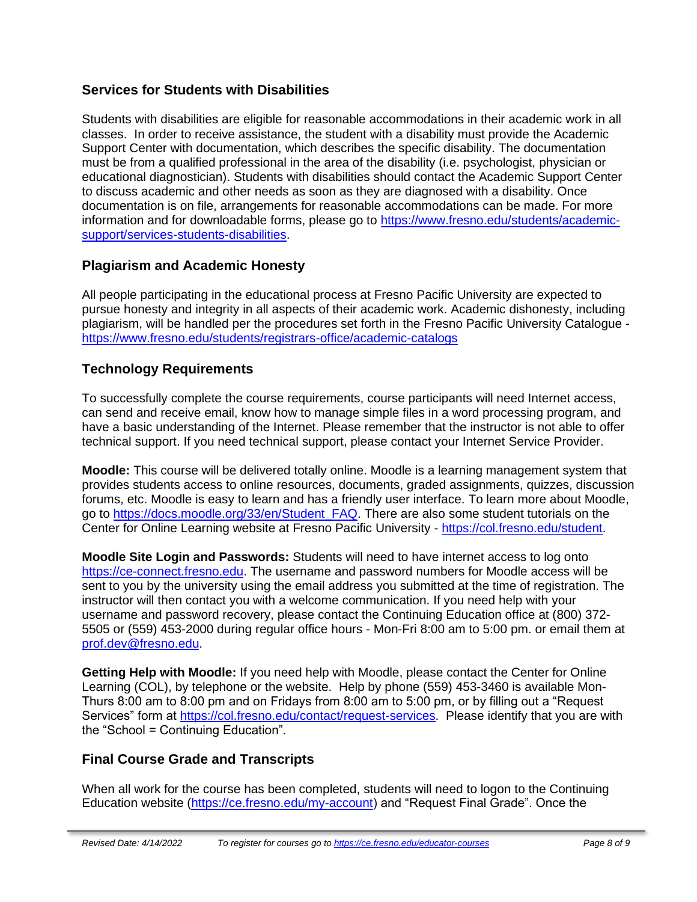# **Services for Students with Disabilities**

Students with disabilities are eligible for reasonable accommodations in their academic work in all classes. In order to receive assistance, the student with a disability must provide the Academic Support Center with documentation, which describes the specific disability. The documentation must be from a qualified professional in the area of the disability (i.e. psychologist, physician or educational diagnostician). Students with disabilities should contact the Academic Support Center to discuss academic and other needs as soon as they are diagnosed with a disability. Once documentation is on file, arrangements for reasonable accommodations can be made. For more information and for downloadable forms, please go to [https://www.fresno.edu/students/academic](https://www.fresno.edu/students/academic-support/services-students-disabilities)[support/services-students-disabilities.](https://www.fresno.edu/students/academic-support/services-students-disabilities)

# **Plagiarism and Academic Honesty**

All people participating in the educational process at Fresno Pacific University are expected to pursue honesty and integrity in all aspects of their academic work. Academic dishonesty, including plagiarism, will be handled per the procedures set forth in the Fresno Pacific University Catalogue <https://www.fresno.edu/students/registrars-office/academic-catalogs>

# **Technology Requirements**

To successfully complete the course requirements, course participants will need Internet access, can send and receive email, know how to manage simple files in a word processing program, and have a basic understanding of the Internet. Please remember that the instructor is not able to offer technical support. If you need technical support, please contact your Internet Service Provider.

**Moodle:** This course will be delivered totally online. Moodle is a learning management system that provides students access to online resources, documents, graded assignments, quizzes, discussion forums, etc. Moodle is easy to learn and has a friendly user interface. To learn more about Moodle, go to [https://docs.moodle.org/33/en/Student\\_FAQ.](https://docs.moodle.org/33/en/Student_FAQ) There are also some student tutorials on the Center for Online Learning website at Fresno Pacific University - [https://col.fresno.edu/student.](https://col.fresno.edu/student)

**Moodle Site Login and Passwords:** Students will need to have internet access to log onto [https://ce-connect.fresno.edu.](https://ce-connect.fresno.edu/) The username and password numbers for Moodle access will be sent to you by the university using the email address you submitted at the time of registration. The instructor will then contact you with a welcome communication. If you need help with your username and password recovery, please contact the Continuing Education office at (800) 372- 5505 or (559) 453-2000 during regular office hours - Mon-Fri 8:00 am to 5:00 pm. or email them at [prof.dev@fresno.edu.](mailto:prof.dev@fresno.edu)

**Getting Help with Moodle:** If you need help with Moodle, please contact the Center for Online Learning (COL), by telephone or the website. Help by phone (559) 453-3460 is available Mon-Thurs 8:00 am to 8:00 pm and on Fridays from 8:00 am to 5:00 pm, or by filling out a "Request Services" form at [https://col.fresno.edu/contact/request-services.](https://col.fresno.edu/contact/request-services) Please identify that you are with the "School = Continuing Education".

# **Final Course Grade and Transcripts**

When all work for the course has been completed, students will need to logon to the Continuing Education website [\(https://ce.fresno.edu/my-account\)](https://ce.fresno.edu/my-account) and "Request Final Grade". Once the